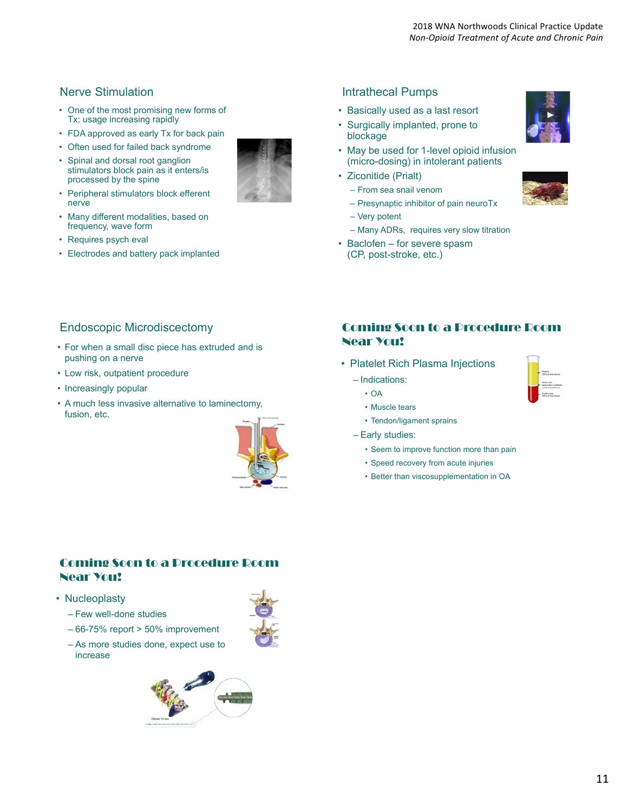## Nerve Stimulation

- One of the most promising new forms of Tx; usage increasing rapidly
- FDA approved as early Tx for back pain
- Often used for failed back syndrome
- Spinal and dorsal root ganglion stimulators block pain as it enters/is processed by the spine
- Peripheral stimulators block efferent nerve
- Many different modalities, based on frequency, wave form
- Requires psych eval
- Electrodes and battery pack implanted

# Endoscopic Microdiscectomy

- For when a small disc piece has extruded and is pushing on a nerve
- Low risk, outpatient procedure
- Increasingly popular
- A much less invasive alternative to laminectomy, fusion, etc.



## Coming Soon to a Procedure Room Near You!

- Nucleoplasty
	- Few well-done studies
	- 66-75% report > 50% improvement
	- As more studies done, expect use to increase

## Intrathecal Pumps

- Basically used as a last resort
- Surgically implanted, prone to blockage
- May be used for 1-level opioid infusion (micro-dosing) in intolerant patients
- Ziconitide (Prialt)
	- From sea snail venom
	- Presynaptic inhibitor of pain neuroTx
	- Very potent
	- Many ADRs, requires very slow titration
- Baclofen for severe spasm (CP, post-stroke, etc.)



#### Coming Soon to a Procedure Room Near You!

- Platelet Rich Plasma Injections
	- Indications:
		- OA
		- Muscle tears
		- Tendon/ligament sprains
	- Early studies:
		- Seem to improve function more than pain
		- Speed recovery from acute injuries
		- Better than viscosupplementation in OA